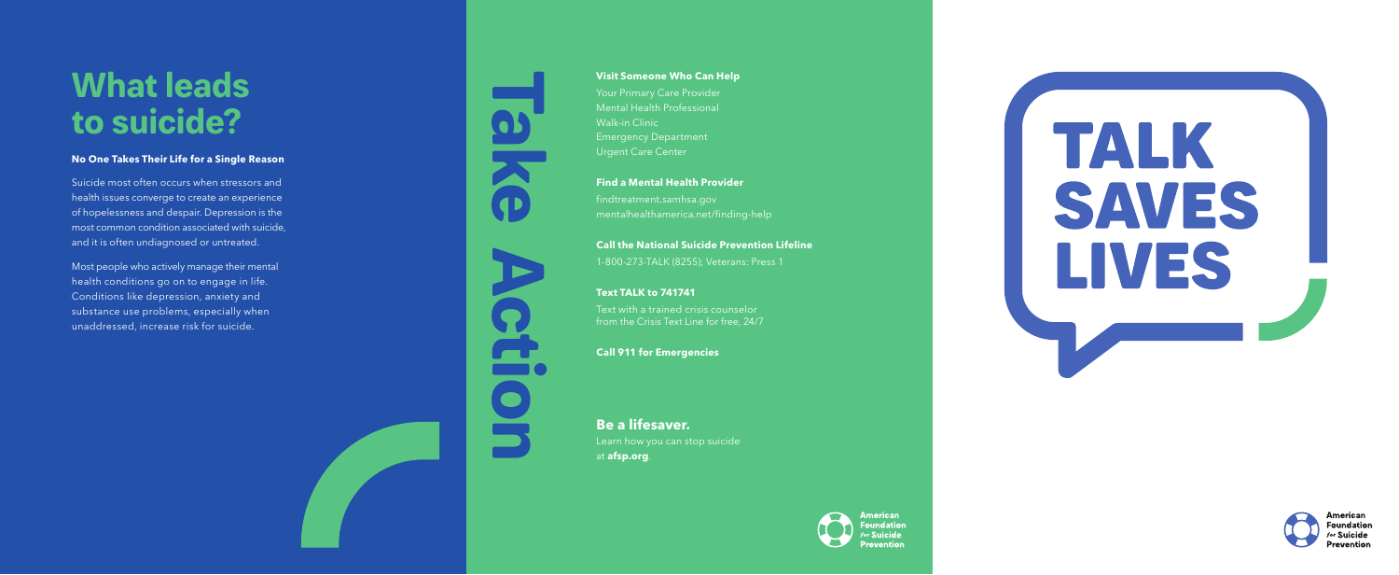

## **Visit Someone Who Can Help**

Your Primary Care Provider Mental Health Professional Walk-in Clinic Emergency Department Urgent Care Center

## **Find a Mental Health Provider**

findtreatment.samhsa.gov mentalhealthamerica.net/finding-help

## **Call the National Suicide Prevention Lifeline**

Suicide most often occurs when stressors and health issues converge to create an experience of hopelessness and despair. Depression is the most common condition associated with suicide, and it is often undiagnosed or untreated.

1-800-273-TALK (8255); Veterans: Press 1

## **Text TALK to 741741**

Text with a trained crisis counselor from the Crisis Text Line for free, 24/7

## **Call 911 for Emergencies**

**Be a lifesaver.** Learn how you can stop suicide at **afsp.org**.



# TALK SAVES LIVES



American **Foundation** r Suicide Prevention

# **What leads to suicide?**

## **No One Takes Their Life for a Single Reason**

Most people who actively manage their mental health conditions go on to engage in life. Conditions like depression, anxiety and substance use problems, especially when unaddressed, increase risk for suicide.